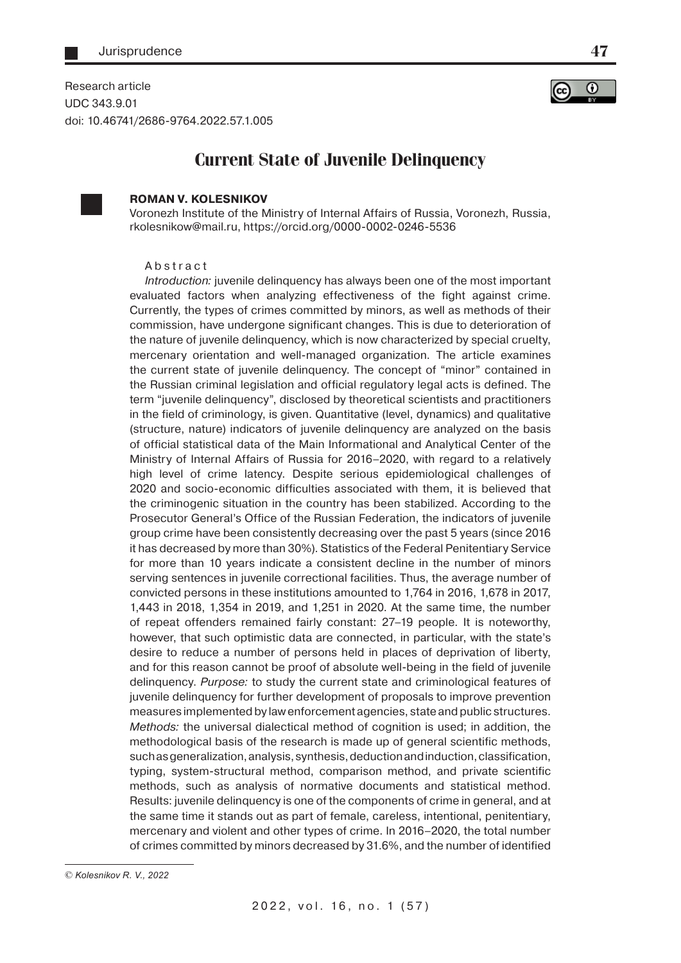Research article UDC 343.9.01 doi: 10.46741/2686-9764.2022.57.1.005



**47**

# **Current State of Juvenile Delinquency**



## **ROMAN V. KOLESNIKOV**

Voronezh Institute of the Ministry of Internal Affairs of Russia, Voronezh, Russia, rkolesnikow@mail.ru, https://orcid.org/0000-0002-0246-5536

#### Abstract

Introduction: juvenile delinquency has always been one of the most important evaluated factors when analyzing effectiveness of the fight against crime. Currently, the types of crimes committed by minors, as well as methods of their commission, have undergone significant changes. This is due to deterioration of the nature of juvenile delinquency, which is now characterized by special cruelty, mercenary orientation and well-managed organization. The article examines the current state of juvenile delinquency. The concept of "minor" contained in the Russian criminal legislation and official regulatory legal acts is defined. The term "juvenile delinquency", disclosed by theoretical scientists and practitioners in the field of criminology, is given. Quantitative (level, dynamics) and qualitative (structure, nature) indicators of juvenile delinquency are analyzed on the basis of official statistical data of the Main Informational and Analytical Center of the Ministry of Internal Affairs of Russia for 2016–2020, with regard to a relatively high level of crime latency. Despite serious epidemiological challenges of 2020 and socio-economic difficulties associated with them, it is believed that the criminogenic situation in the country has been stabilized. According to the Prosecutor General's Office of the Russian Federation, the indicators of juvenile group crime have been consistently decreasing over the past 5 years (since 2016 it has decreased by more than 30%). Statistics of the Federal Penitentiary Service for more than 10 years indicate a consistent decline in the number of minors serving sentences in juvenile correctional facilities. Thus, the average number of convicted persons in these institutions amounted to 1,764 in 2016, 1,678 in 2017, 1,443 in 2018, 1,354 in 2019, and 1,251 in 2020. At the same time, the number of repeat offenders remained fairly constant: 27–19 people. It is noteworthy, however, that such optimistic data are connected, in particular, with the state's desire to reduce a number of persons held in places of deprivation of liberty, and for this reason cannot be proof of absolute well-being in the field of juvenile delinquency. Purpose: to study the current state and criminological features of juvenile delinquency for further development of proposals to improve prevention measures implemented by law enforcement agencies, state and public structures. Methods: the universal dialectical method of cognition is used; in addition, the methodological basis of the research is made up of general scientific methods, such as generalization, analysis, synthesis, deduction and induction, classification, typing, system-structural method, comparison method, and private scientific methods, such as analysis of normative documents and statistical method. Results: juvenile delinquency is one of the components of crime in general, and at the same time it stands out as part of female, careless, intentional, penitentiary, mercenary and violent and other types of crime. In 2016–2020, the total number of crimes committed by minors decreased by 31.6%, and the number of identified

<sup>©</sup> *Kolesnikov R. V., 2022*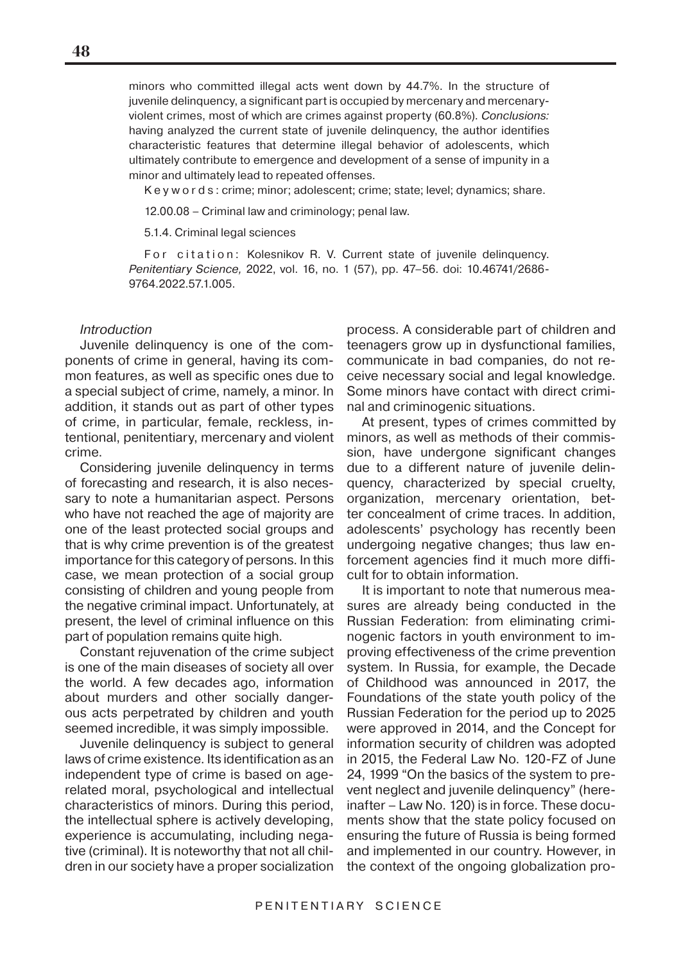minors who committed illegal acts went down by 44.7%. In the structure of juvenile delinquency, a significant part is occupied by mercenary and mercenaryviolent crimes, most of which are crimes against property (60.8%). Conclusions: having analyzed the current state of juvenile delinquency, the author identifies characteristic features that determine illegal behavior of adolescents, which ultimately contribute to emergence and development of a sense of impunity in a minor and ultimately lead to repeated offenses.

K e y w o r d s : crime; minor; adolescent; crime; state; level; dynamics; share.

12.00.08 – Criminal law and criminology; penal law.

5.1.4. Criminal legal sciences

For citation: Kolesnikov R. V. Current state of juvenile delinquency. Penitentiary Science, 2022, vol. 16, no. 1 (57), pp. 47–56. doi: 10.46741/2686- 9764.2022.57.1.005.

#### **Introduction**

Juvenile delinquency is one of the components of crime in general, having its common features, as well as specific ones due to a special subject of crime, namely, a minor. In addition, it stands out as part of other types of crime, in particular, female, reckless, intentional, penitentiary, mercenary and violent crime.

Considering juvenile delinquency in terms of forecasting and research, it is also necessary to note a humanitarian aspect. Persons who have not reached the age of majority are one of the least protected social groups and that is why crime prevention is of the greatest importance for this category of persons. In this case, we mean protection of a social group consisting of children and young people from the negative criminal impact. Unfortunately, at present, the level of criminal influence on this part of population remains quite high.

Constant rejuvenation of the crime subject is one of the main diseases of society all over the world. A few decades ago, information about murders and other socially dangerous acts perpetrated by children and youth seemed incredible, it was simply impossible.

Juvenile delinquency is subject to general laws of crime existence. Its identification as an independent type of crime is based on agerelated moral, psychological and intellectual characteristics of minors. During this period, the intellectual sphere is actively developing, experience is accumulating, including negative (criminal). It is noteworthy that not all children in our society have a proper socialization

process. A considerable part of children and teenagers grow up in dysfunctional families, communicate in bad companies, do not receive necessary social and legal knowledge. Some minors have contact with direct criminal and criminogenic situations.

At present, types of crimes committed by minors, as well as methods of their commission, have undergone significant changes due to a different nature of juvenile delinquency, characterized by special cruelty, organization, mercenary orientation, better concealment of crime traces. In addition, adolescents' psychology has recently been undergoing negative changes; thus law enforcement agencies find it much more difficult for to obtain information.

It is important to note that numerous measures are already being conducted in the Russian Federation: from eliminating criminogenic factors in youth environment to improving effectiveness of the crime prevention system. In Russia, for example, the Decade of Childhood was announced in 2017, the Foundations of the state youth policy of the Russian Federation for the period up to 2025 were approved in 2014, and the Concept for information security of children was adopted in 2015, the Federal Law No. 120-FZ of June 24, 1999 "On the basics of the system to prevent neglect and juvenile delinquency" (hereinafter – Law No. 120) is in force. These documents show that the state policy focused on ensuring the future of Russia is being formed and implemented in our country. However, in the context of the ongoing globalization pro-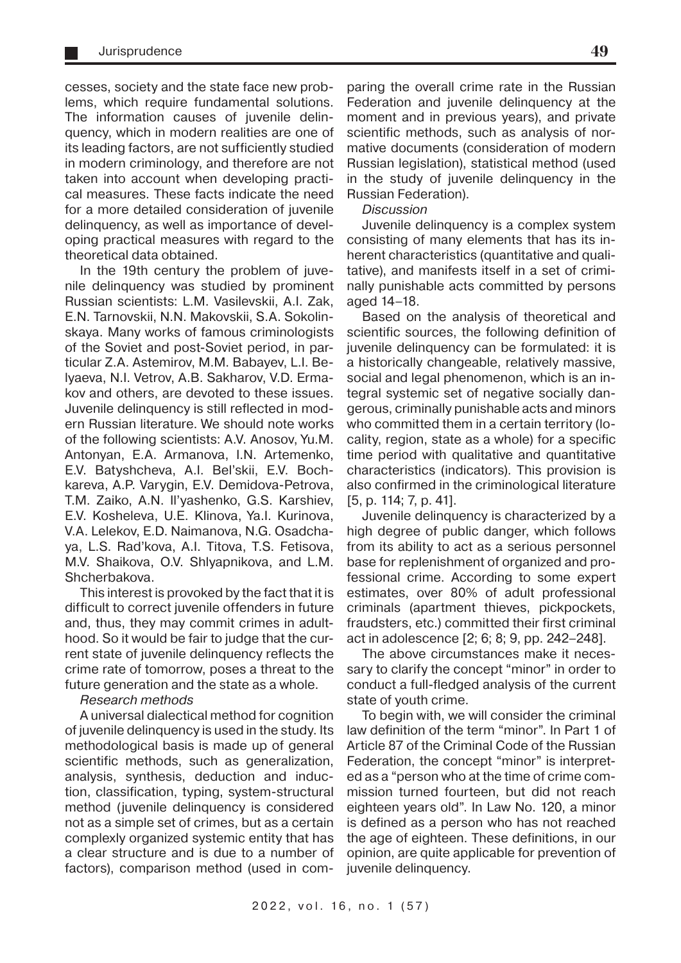cesses, society and the state face new problems, which require fundamental solutions. The information causes of juvenile delinquency, which in modern realities are one of its leading factors, are not sufficiently studied in modern criminology, and therefore are not taken into account when developing practical measures. These facts indicate the need for a more detailed consideration of juvenile delinquency, as well as importance of developing practical measures with regard to the theoretical data obtained.

In the 19th century the problem of juvenile delinquency was studied by prominent Russian scientists: L.M. Vasilevskii, A.I. Zak, E.N. Tarnovskii, N.N. Makovskii, S.A. Sokolinskaya. Many works of famous criminologists of the Soviet and post-Soviet period, in particular Z.A. Astemirov, M.M. Babayev, L.I. Belyaeva, N.I. Vetrov, A.B. Sakharov, V.D. Ermakov and others, are devoted to these issues. Juvenile delinquency is still reflected in modern Russian literature. We should note works of the following scientists: A.V. Anosov, Yu.M. Antonyan, E.A. Armanova, I.N. Artemenko, E.V. Batyshcheva, A.I. Bel'skii, E.V. Bochkareva, A.P. Varygin, E.V. Demidova-Petrova, T.M. Zaiko, A.N. Il'yashenko, G.S. Karshiev, E.V. Kosheleva, U.E. Klinova, Ya.I. Kurinova, V.A. Lelekov, E.D. Naimanova, N.G. Osadchaya, L.S. Rad'kova, A.I. Titova, T.S. Fetisova, M.V. Shaikova, O.V. Shlyapnikova, and L.M. Shcherbakova.

This interest is provoked by the fact that it is difficult to correct juvenile offenders in future and, thus, they may commit crimes in adulthood. So it would be fair to judge that the current state of juvenile delinquency reflects the crime rate of tomorrow, poses a threat to the future generation and the state as a whole.

Research methods

A universal dialectical method for cognition of juvenile delinquency is used in the study. Its methodological basis is made up of general scientific methods, such as generalization, analysis, synthesis, deduction and induction, classification, typing, system-structural method (juvenile delinquency is considered not as a simple set of crimes, but as a certain complexly organized systemic entity that has a clear structure and is due to a number of factors), comparison method (used in comparing the overall crime rate in the Russian Federation and juvenile delinquency at the moment and in previous years), and private scientific methods, such as analysis of normative documents (consideration of modern Russian legislation), statistical method (used in the study of juvenile delinquency in the Russian Federation).

## **Discussion**

Juvenile delinquency is a complex system consisting of many elements that has its inherent characteristics (quantitative and qualitative), and manifests itself in a set of criminally punishable acts committed by persons aged 14–18.

Based on the analysis of theoretical and scientific sources, the following definition of juvenile delinquency can be formulated: it is a historically changeable, relatively massive, social and legal phenomenon, which is an integral systemic set of negative socially dangerous, criminally punishable acts and minors who committed them in a certain territory (locality, region, state as a whole) for a specific time period with qualitative and quantitative characteristics (indicators). This provision is also confirmed in the criminological literature [5, p. 114; 7, p. 41].

Juvenile delinquency is characterized by a high degree of public danger, which follows from its ability to act as a serious personnel base for replenishment of organized and professional crime. According to some expert estimates, over 80% of adult professional criminals (apartment thieves, pickpockets, fraudsters, etc.) committed their first criminal act in adolescence [2; 6; 8; 9, pp. 242–248].

The above circumstances make it necessary to clarify the concept "minor" in order to conduct a full-fledged analysis of the current state of youth crime.

To begin with, we will consider the criminal law definition of the term "minor". In Part 1 of Article 87 of the Criminal Code of the Russian Federation, the concept "minor" is interpreted as a "person who at the time of crime commission turned fourteen, but did not reach eighteen years old". In Law No. 120, a minor is defined as a person who has not reached the age of eighteen. These definitions, in our opinion, are quite applicable for prevention of juvenile delinquency.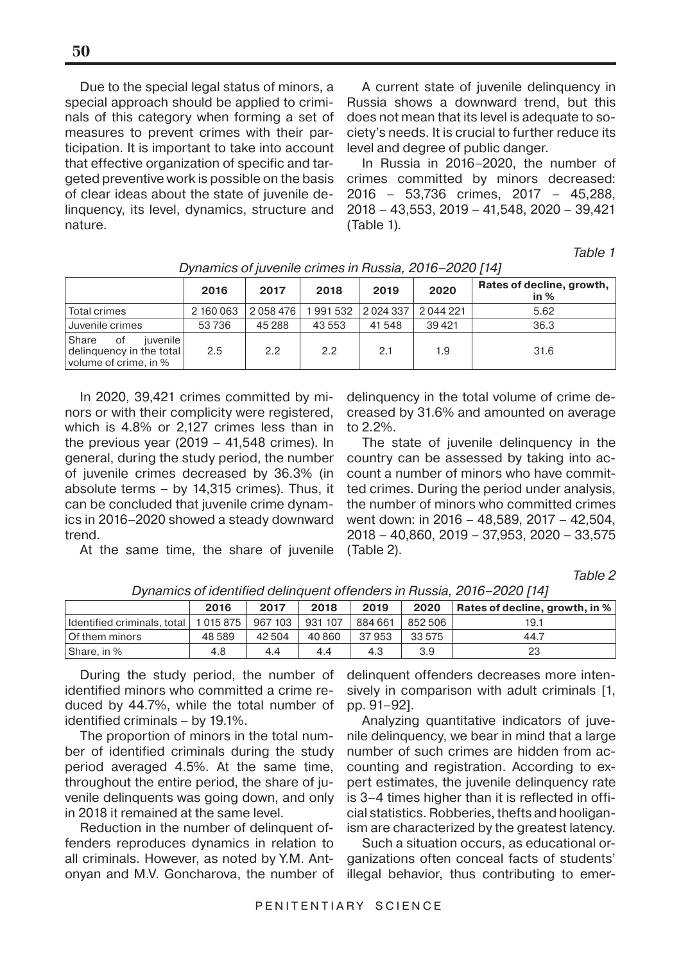Due to the special legal status of minors, a special approach should be applied to criminals of this category when forming a set of measures to prevent crimes with their participation. It is important to take into account that effective organization of specific and targeted preventive work is possible on the basis of clear ideas about the state of juvenile delinquency, its level, dynamics, structure and nature.

A current state of juvenile delinquency in Russia shows a downward trend, but this does not mean that its level is adequate to society's needs. It is crucial to further reduce its level and degree of public danger.

In Russia in 2016–2020, the number of crimes committed by minors decreased: 2016 – 53,736 crimes, 2017 – 45,288, 2018 – 43,553, 2019 – 41,548, 2020 – 39,421 (Table 1).

Table 1

|                                                                                | 2016      | 2017    | 2018    | 2019    | 2020    | Rates of decline, growth,<br>in $%$ |
|--------------------------------------------------------------------------------|-----------|---------|---------|---------|---------|-------------------------------------|
| Total crimes                                                                   | 2 160 063 | 2058476 | 1991532 | 2024337 | 2044221 | 5.62                                |
| Juvenile crimes                                                                | 53736     | 45 288  | 43 553  | 41 548  | 39421   | 36.3                                |
| Share<br>iuvenile l<br>0f<br>delinquency in the total<br>volume of crime, in % | 2.5       | 2.2     | 2.2     | 2.1     | 1.9     | 31.6                                |

Dynamics of juvenile crimes in Russia, 2016–2020 [14]

In 2020, 39,421 crimes committed by minors or with their complicity were registered, which is 4.8% or 2,127 crimes less than in the previous year (2019 – 41,548 crimes). In general, during the study period, the number of juvenile crimes decreased by 36.3% (in absolute terms – by 14,315 crimes). Thus, it can be concluded that juvenile crime dynamics in 2016–2020 showed a steady downward trend.

At the same time, the share of juvenile

delinquency in the total volume of crime decreased by 31.6% and amounted on average to 2.2%.

The state of juvenile delinquency in the country can be assessed by taking into account a number of minors who have committed crimes. During the period under analysis, the number of minors who committed crimes went down: in 2016 – 48,589, 2017 – 42,504, 2018 – 40,860, 2019 – 37,953, 2020 – 33,575 (Table 2).

Table 2

|                                        | 2016  | 2017    | 2018    | 2019    | 2020    | Rates of decline, growth, in % |
|----------------------------------------|-------|---------|---------|---------|---------|--------------------------------|
| Identified criminals, total   1015 875 |       | 967 103 | 931 107 | 884 661 | 852 506 | 19.1                           |
| l Of them minors                       | 48589 | 42 504  | 40 860  | 37953   | 33 575  | 44.7                           |
| Share, in %                            | 4.8   | 4.4     | 4.4     | 4.3     | 3.9     | 23                             |

Dynamics of identified delinquent offenders in Russia, 2016–2020 [14]

During the study period, the number of identified minors who committed a crime reduced by 44.7%, while the total number of identified criminals – by 19.1%.

The proportion of minors in the total number of identified criminals during the study period averaged 4.5%. At the same time, throughout the entire period, the share of juvenile delinquents was going down, and only in 2018 it remained at the same level.

Reduction in the number of delinquent offenders reproduces dynamics in relation to all criminals. However, as noted by Y.M. Antonyan and M.V. Goncharova, the number of

delinquent offenders decreases more intensively in comparison with adult criminals [1, pp. 91–92].

Analyzing quantitative indicators of juvenile delinquency, we bear in mind that a large number of such crimes are hidden from accounting and registration. According to expert estimates, the juvenile delinquency rate is 3–4 times higher than it is reflected in official statistics. Robberies, thefts and hooliganism are characterized by the greatest latency.

Such a situation occurs, as educational organizations often conceal facts of students' illegal behavior, thus contributing to emer-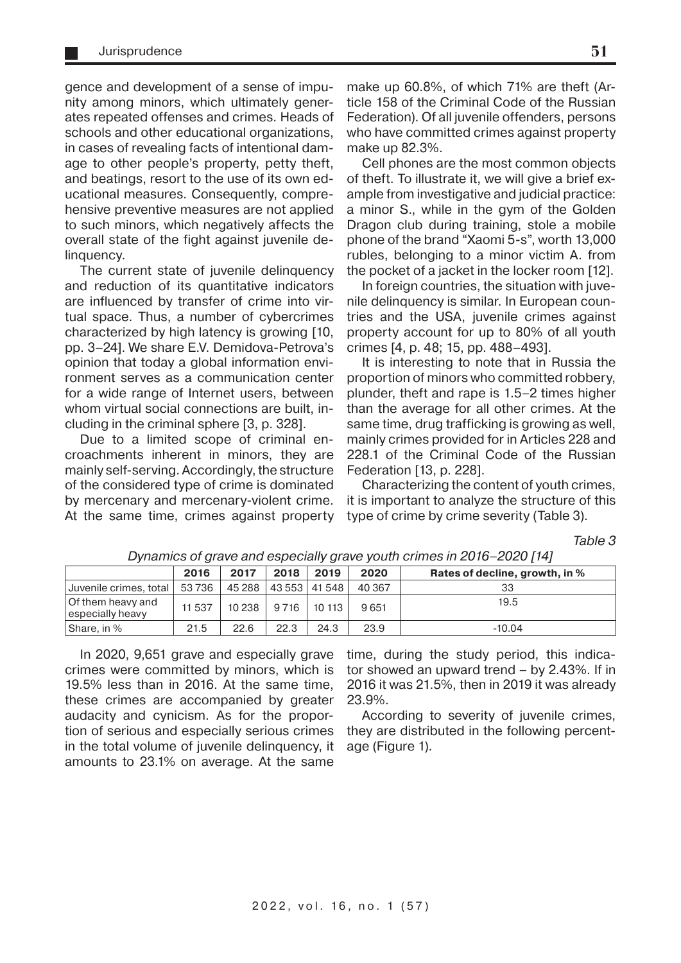gence and development of a sense of impunity among minors, which ultimately generates repeated offenses and crimes. Heads of schools and other educational organizations, in cases of revealing facts of intentional damage to other people's property, petty theft, and beatings, resort to the use of its own educational measures. Consequently, comprehensive preventive measures are not applied to such minors, which negatively affects the overall state of the fight against juvenile delinquency.

The current state of juvenile delinquency and reduction of its quantitative indicators are influenced by transfer of crime into virtual space. Thus, a number of cybercrimes characterized by high latency is growing [10, pp. 3–24]. We share E.V. Demidova-Petrova's opinion that today a global information environment serves as a communication center for a wide range of Internet users, between whom virtual social connections are built, including in the criminal sphere [3, p. 328].

Due to a limited scope of criminal encroachments inherent in minors, they are mainly self-serving. Accordingly, the structure of the considered type of crime is dominated by mercenary and mercenary-violent crime. At the same time, crimes against property make up 60.8%, of which 71% are theft (Article 158 of the Criminal Code of the Russian Federation). Of all juvenile offenders, persons who have committed crimes against property make up 82.3%.

Cell phones are the most common objects of theft. To illustrate it, we will give a brief example from investigative and judicial practice: a minor S., while in the gym of the Golden Dragon club during training, stole a mobile phone of the brand "Xaomi 5-s", worth 13,000 rubles, belonging to a minor victim A. from the pocket of a jacket in the locker room [12].

In foreign countries, the situation with juvenile delinquency is similar. In European countries and the USA, juvenile crimes against property account for up to 80% of all youth crimes [4, p. 48; 15, pp. 488–493].

It is interesting to note that in Russia the proportion of minors who committed robbery, plunder, theft and rape is 1.5–2 times higher than the average for all other crimes. At the same time, drug trafficking is growing as well, mainly crimes provided for in Articles 228 and 228.1 of the Criminal Code of the Russian Federation [13, p. 228].

Characterizing the content of youth crimes, it is important to analyze the structure of this type of crime by crime severity (Table 3).

Table 3

|                                       | 2016     | 2017     | 2018 | 2019            | 2020   | Rates of decline, growth, in % |
|---------------------------------------|----------|----------|------|-----------------|--------|--------------------------------|
| Juvenile crimes, total                | 53 736   | 45 288 1 |      | 43 553   41 548 | 40 367 | 33                             |
| Of them heavy and<br>especially heavy | 11 5 3 7 | 10238    | 9716 | 10 113          | 9651   | 19.5                           |
| Share, in %                           | 21.5     | 22.6     | 22.3 | 24.3            | 23.9   | $-10.04$                       |

Dynamics of grave and especially grave youth crimes in 2016–2020 [14]

In 2020, 9,651 grave and especially grave crimes were committed by minors, which is 19.5% less than in 2016. At the same time, these crimes are accompanied by greater audacity and cynicism. As for the proportion of serious and especially serious crimes in the total volume of juvenile delinquency, it amounts to 23.1% on average. At the same

time, during the study period, this indicator showed an upward trend – by 2.43%. If in 2016 it was 21.5%, then in 2019 it was already 23.9%.

According to severity of juvenile crimes, they are distributed in the following percentage (Figure 1).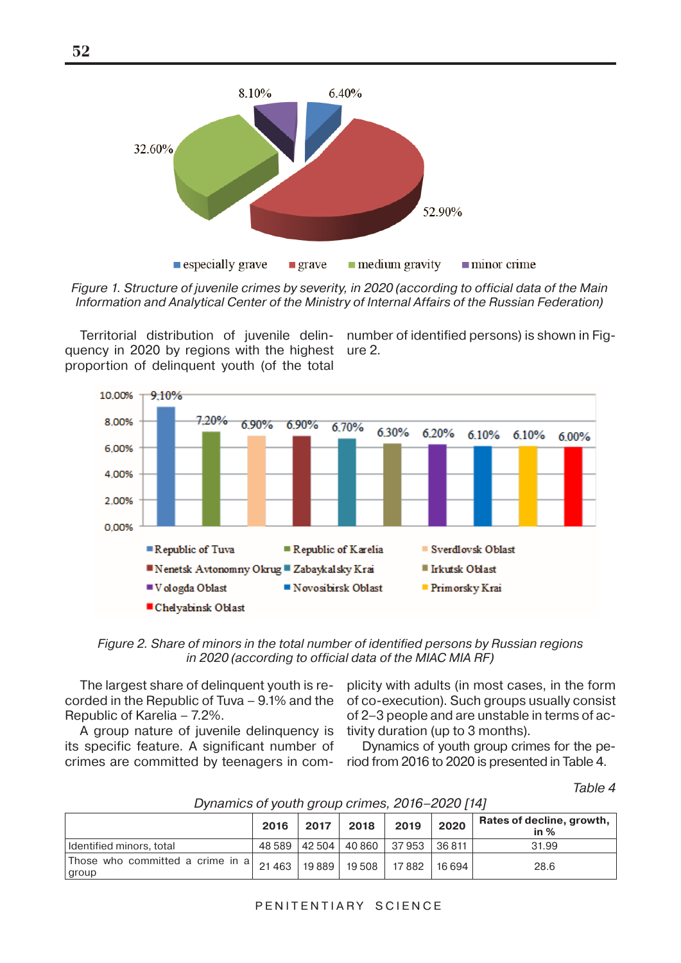

Figure 1. Structure of juvenile crimes by severity, in 2020 (according to official data of the Main Information and Analytical Center of the Ministry of Internal Affairs of the Russian Federation)

Territorial distribution of juvenile delin-number of identified persons) is shown in Figquency in 2020 by regions with the highest ure 2. proportion of delinquent youth (of the total



Figure 2. Share of minors in the total number of identified persons by Russian regions in 2020 (according to official data of the MIAC MIA RF)

The largest share of delinquent youth is recorded in the Republic of Tuva – 9.1% and the Republic of Karelia – 7.2%.

A group nature of juvenile delinquency is its specific feature. A significant number of crimes are committed by teenagers in com-

plicity with adults (in most cases, in the form of co-execution). Such groups usually consist of 2–3 people and are unstable in terms of activity duration (up to 3 months).

Dynamics of youth group crimes for the period from 2016 to 2020 is presented in Table 4.

Table 4

|                                                                                 | 2016 | 2017 | 2018 | 2019                                       | 2020 | Rates of decline, growth,  <br>in $%$ |
|---------------------------------------------------------------------------------|------|------|------|--------------------------------------------|------|---------------------------------------|
| l Identified minors, total                                                      |      |      |      | 48 589   42 504   40 860   37 953   36 811 |      | 31.99                                 |
| Those who committed a crime in a $\vert$ 21 463 $\vert$ 19 889 $\vert$<br>group |      |      |      | 19 508   17 882   16 694                   |      | 28.6                                  |

### Dynamics of youth group crimes, 2016–2020 [14]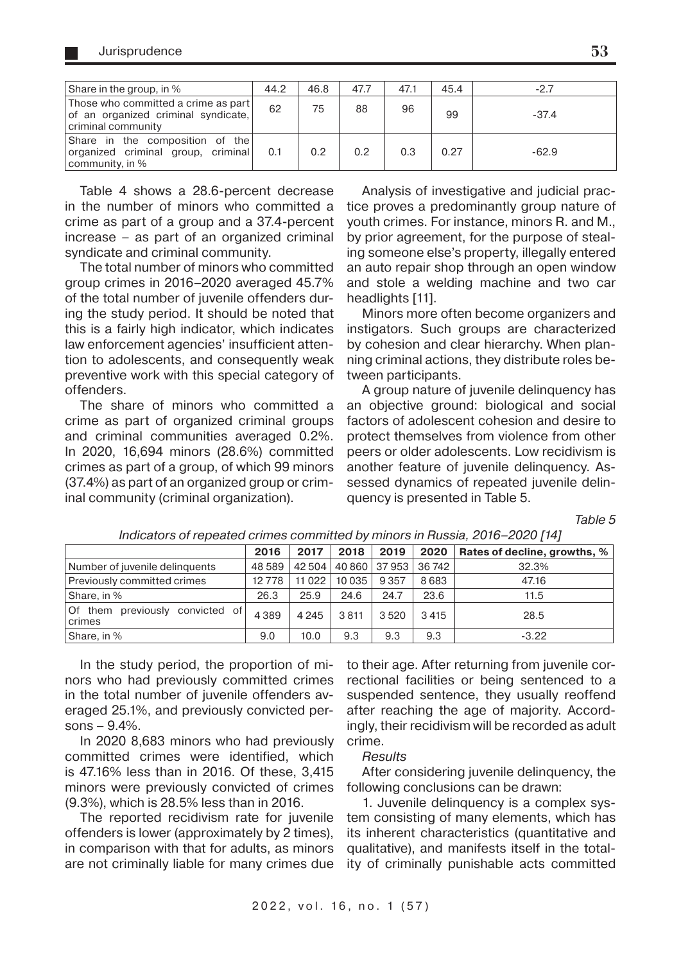| Share in the group, in %                                                                         | 44.2 | 46.8 | 47.7 | 47.1 | 45.4 | $-2.7$  |
|--------------------------------------------------------------------------------------------------|------|------|------|------|------|---------|
| Those who committed a crime as part<br>of an organized criminal syndicate,<br>criminal community | 62   | 75   | 88   | 96   | 99   | $-37.4$ |
| Share in the composition of the<br>organized criminal group, criminal<br>community, in %         | 0.1  | 0.2  | 0.2  | 0.3  | 0.27 | $-62.9$ |

Table 4 shows a 28.6-percent decrease in the number of minors who committed a crime as part of a group and a 37.4-percent increase – as part of an organized criminal syndicate and criminal community.

The total number of minors who committed group crimes in 2016–2020 averaged 45.7% of the total number of juvenile offenders during the study period. It should be noted that this is a fairly high indicator, which indicates law enforcement agencies' insufficient attention to adolescents, and consequently weak preventive work with this special category of offenders.

The share of minors who committed a crime as part of organized criminal groups and criminal communities averaged 0.2%. In 2020, 16,694 minors (28.6%) committed crimes as part of a group, of which 99 minors (37.4%) as part of an organized group or criminal community (criminal organization).

Analysis of investigative and judicial practice proves a predominantly group nature of youth crimes. For instance, minors R. and M., by prior agreement, for the purpose of stealing someone else's property, illegally entered an auto repair shop through an open window and stole a welding machine and two car headlights [11].

Minors more often become organizers and instigators. Such groups are characterized by cohesion and clear hierarchy. When planning criminal actions, they distribute roles between participants.

A group nature of juvenile delinquency has an objective ground: biological and social factors of adolescent cohesion and desire to protect themselves from violence from other peers or older adolescents. Low recidivism is another feature of juvenile delinquency. Assessed dynamics of repeated juvenile delinquency is presented in Table 5.

Table 5

|                                           | 2016    | 2017     | 2018    | 2019          | 2020   | Rates of decline, growths, % |
|-------------------------------------------|---------|----------|---------|---------------|--------|------------------------------|
| Number of juvenile delinguents            | 48 589  | 42 504   |         | 40 860 37 953 | 36 742 | 32.3%                        |
| Previously committed crimes               | 12778   | 11 0 2 2 | 10 0 35 | 9 3 5 7       | 8683   | 47.16                        |
| Share, in %                               | 26.3    | 25.9     | 24.6    | 24.7          | 23.6   | 11.5                         |
| Of them previously convicted of<br>crimes | 4 3 8 9 | 4 2 4 5  | 3811    | 3520          | 3415   | 28.5                         |
| Share, in %                               | 9.0     | 10.0     | 9.3     | 9.3           | 9.3    | $-3.22$                      |

Indicators of repeated crimes committed by minors in Russia, 2016–2020 [14]

In the study period, the proportion of minors who had previously committed crimes in the total number of juvenile offenders averaged 25.1%, and previously convicted persons  $-9.4%$ .

In 2020 8,683 minors who had previously committed crimes were identified, which is 47.16% less than in 2016. Of these, 3,415 minors were previously convicted of crimes (9.3%), which is 28.5% less than in 2016.

The reported recidivism rate for juvenile offenders is lower (approximately by 2 times), in comparison with that for adults, as minors are not criminally liable for many crimes due

to their age. After returning from juvenile correctional facilities or being sentenced to a suspended sentence, they usually reoffend after reaching the age of majority. Accordingly, their recidivism will be recorded as adult crime.

**Results** 

After considering juvenile delinquency, the following conclusions can be drawn:

1. Juvenile delinquency is a complex system consisting of many elements, which has its inherent characteristics (quantitative and qualitative), and manifests itself in the totality of criminally punishable acts committed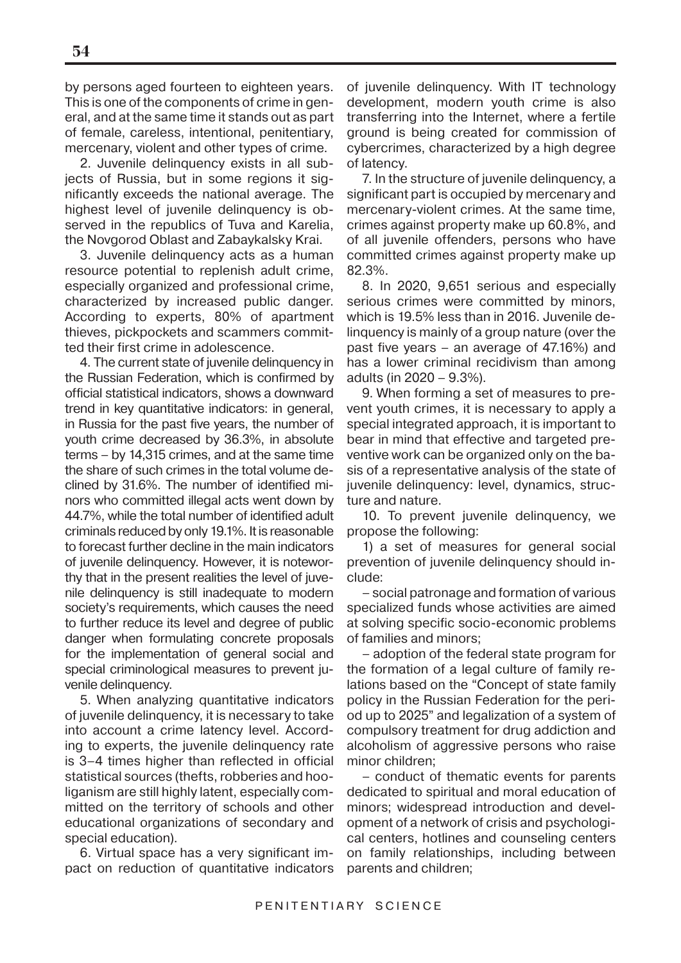by persons aged fourteen to eighteen years. This is one of the components of crime in general, and at the same time it stands out as part of female, careless, intentional, penitentiary, mercenary, violent and other types of crime.

2. Juvenile delinquency exists in all subjects of Russia, but in some regions it significantly exceeds the national average. The highest level of juvenile delinquency is observed in the republics of Tuva and Karelia, the Novgorod Oblast and Zabaykalsky Krai.

3. Juvenile delinquency acts as a human resource potential to replenish adult crime, especially organized and professional crime, characterized by increased public danger. According to experts, 80% of apartment thieves, pickpockets and scammers committed their first crime in adolescence.

4. The current state of juvenile delinquency in the Russian Federation, which is confirmed by official statistical indicators, shows a downward trend in key quantitative indicators: in general, in Russia for the past five years, the number of youth crime decreased by 36.3%, in absolute terms – by 14,315 crimes, and at the same time the share of such crimes in the total volume declined by 31.6%. The number of identified minors who committed illegal acts went down by 44.7%, while the total number of identified adult criminals reduced by only 19.1%. It is reasonable to forecast further decline in the main indicators of juvenile delinquency. However, it is noteworthy that in the present realities the level of juvenile delinquency is still inadequate to modern society's requirements, which causes the need to further reduce its level and degree of public danger when formulating concrete proposals for the implementation of general social and special criminological measures to prevent juvenile delinquency.

5. When analyzing quantitative indicators of juvenile delinquency, it is necessary to take into account a crime latency level. According to experts, the juvenile delinquency rate is 3–4 times higher than reflected in official statistical sources (thefts, robberies and hooliganism are still highly latent, especially committed on the territory of schools and other educational organizations of secondary and special education).

6. Virtual space has a very significant impact on reduction of quantitative indicators

of juvenile delinquency. With IT technology development, modern youth crime is also transferring into the Internet, where a fertile ground is being created for commission of cybercrimes, characterized by a high degree of latency.

7. In the structure of juvenile delinquency, a significant part is occupied by mercenary and mercenary-violent crimes. At the same time, crimes against property make up 60.8%, and of all juvenile offenders, persons who have committed crimes against property make up 82.3%.

8. In 2020, 9,651 serious and especially serious crimes were committed by minors, which is 19.5% less than in 2016. Juvenile delinquency is mainly of a group nature (over the past five years – an average of 47.16%) and has a lower criminal recidivism than among adults (in 2020 – 9.3%).

9. When forming a set of measures to prevent youth crimes, it is necessary to apply a special integrated approach, it is important to bear in mind that effective and targeted preventive work can be organized only on the basis of a representative analysis of the state of juvenile delinquency: level, dynamics, structure and nature.

10. To prevent juvenile delinquency, we propose the following:

1) a set of measures for general social prevention of juvenile delinquency should include:

– social patronage and formation of various specialized funds whose activities are aimed at solving specific socio-economic problems of families and minors;

– adoption of the federal state program for the formation of a legal culture of family relations based on the "Concept of state family policy in the Russian Federation for the period up to 2025" and legalization of a system of compulsory treatment for drug addiction and alcoholism of aggressive persons who raise minor children;

– conduct of thematic events for parents dedicated to spiritual and moral education of minors; widespread introduction and development of a network of crisis and psychological centers, hotlines and counseling centers on family relationships, including between parents and children;

**54**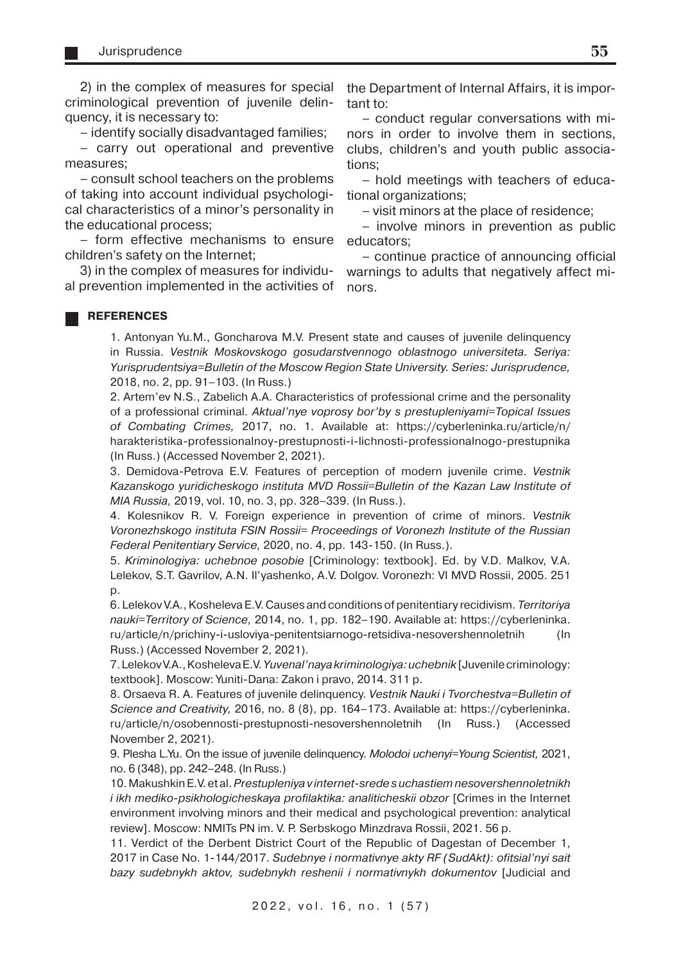2) in the complex of measures for special criminological prevention of juvenile delinquency, it is necessary to:

– identify socially disadvantaged families;

– carry out operational and preventive measures;

– consult school teachers on the problems of taking into account individual psychological characteristics of a minor's personality in the educational process;

– form effective mechanisms to ensure children's safety on the Internet;

3) in the complex of measures for individual prevention implemented in the activities of the Department of Internal Affairs, it is important to:

– conduct regular conversations with minors in order to involve them in sections, clubs, children's and youth public associations;

– hold meetings with teachers of educational organizations;

– visit minors at the place of residence;

– involve minors in prevention as public educators;

– continue practice of announcing official warnings to adults that negatively affect minors.

#### **REFERENCES**

1. Antonyan Yu.M., Goncharova M.V. Present state and causes of juvenile delinquency in Russia. Vestnik Moskovskogo gosudarstvennogo oblastnogo universiteta. Seriya: Yurisprudentsiya=Bulletin of the Moscow Region State University. Series: Jurisprudence, 2018, no. 2, pp. 91–103. (In Russ.)

2. Artem'ev N.S., Zabelich A.A. Characteristics of professional crime and the personality of a professional criminal. Aktual'nye voprosy bor'by s prestupleniyami=Topical Issues of Combating Crimes, 2017, no. 1. Available at: https://cyberleninka.ru/article/n/ harakteristika-professionalnoy-prestupnosti-i-lichnosti-professionalnogo-prestupnika (In Russ.) (Accessed November 2, 2021).

3. Demidova-Petrova E.V. Features of perception of modern juvenile crime. Vestnik Kazanskogo yuridicheskogo instituta MVD Rossii=Bulletin of the Kazan Law Institute of MIA Russia, 2019, vol. 10, no. 3, pp. 328–339. (In Russ.).

4. Kolesnikov R. V. Foreign experience in prevention of crime of minors. Vestnik Voronezhskogo instituta FSIN Rossii= Proceedings of Voronezh Institute of the Russian Federal Penitentiary Service, 2020, no. 4, pp. 143-150. (In Russ.).

5. Kriminologiya: uchebnoe posobie [Criminology: textbook]. Ed. by V.D. Malkov, V.A. Lelekov, S.T. Gavrilov, A.N. Il'yashenko, A.V. Dolgov. Voronezh: VI MVD Rossii, 2005. 251  $D<sub>1</sub>$ 

6. Lelekov V.A., Kosheleva E.V. Causes and conditions of penitentiary recidivism. Territoriya nauki=Territory of Science, 2014, no. 1, pp. 182–190. Available at: https://cyberleninka. ru/article/n/prichiny-i-usloviya-penitentsiarnogo-retsidiva-nesovershennoletnih (In Russ.) (Accessed November 2, 2021).

7. Lelekov V.A., Kosheleva E.V. Yuvenal'naya kriminologiya: uchebnik [Juvenile criminology: textbook]. Moscow: Yuniti-Dana: Zakon i pravo, 2014. 311 p.

8. Orsaeva R. A. Features of juvenile delinquency. Vestnik Nauki i Tvorchestva=Bulletin of Science and Creativity, 2016, no. 8 (8), pp. 164–173. Available at: https://cyberleninka. ru/article/n/osobennosti-prestupnosti-nesovershennoletnih (In Russ.) (Accessed November 2, 2021).

9. Plesha L.Yu. On the issue of juvenile delinquency. Molodoi uchenyi=Young Scientist, 2021, no. 6 (348), pp. 242–248. (In Russ.)

10. Makushkin E.V. et al. Prestupleniya v internet-srede s uchastiem nesovershennoletnikh i ikh mediko-psikhologicheskaya profilaktika: analiticheskii obzor [Crimes in the Internet environment involving minors and their medical and psychological prevention: analytical review]. Moscow: NMITs PN im. V. P. Serbskogo Minzdrava Rossii, 2021. 56 p.

11. Verdict of the Derbent District Court of the Republic of Dagestan of December 1, 2017 in Case No. 1-144/2017. Sudebnye i normativnye akty RF (SudAkt): ofitsial'nyi sait bazy sudebnykh aktov, sudebnykh reshenii i normativnykh dokumentov [Judicial and